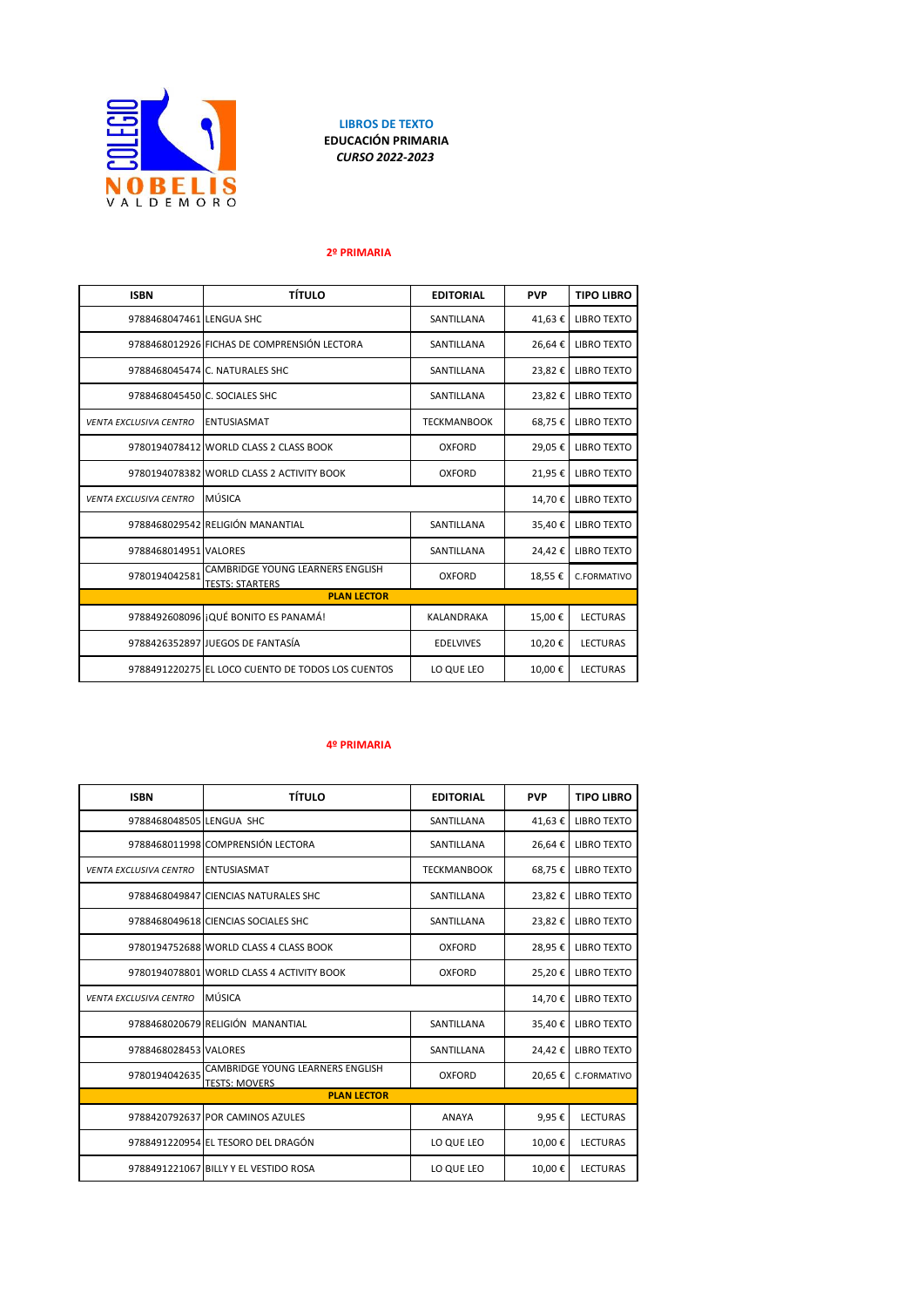

**LIBROS DE TEXTO EDUCACIÓN PRIMARIA** *CURSO 2022-2023*

## **2º PRIMARIA**

| <b>ISBN</b>                   | <b>TÍTULO</b>                                              | <b>EDITORIAL</b>   | <b>PVP</b> | <b>TIPO LIBRO</b>  |
|-------------------------------|------------------------------------------------------------|--------------------|------------|--------------------|
| 9788468047461 LENGUA SHC      |                                                            | SANTILLANA         | 41,63€     | <b>LIBRO TEXTO</b> |
|                               | 9788468012926 FICHAS DE COMPRENSIÓN LECTORA                | SANTILLANA         | 26,64€     | <b>LIBRO TEXTO</b> |
|                               | 9788468045474 C. NATURALES SHC                             | SANTILLANA         | 23,82€     | <b>LIBRO TEXTO</b> |
|                               | 9788468045450 C. SOCIALES SHC                              | SANTILLANA         | 23,82€     | <b>LIBRO TEXTO</b> |
| <b>VENTA EXCLUSIVA CENTRO</b> | <b>ENTUSIASMAT</b>                                         | <b>TECKMANBOOK</b> | 68,75€     | <b>LIBRO TEXTO</b> |
|                               | 9780194078412 WORLD CLASS 2 CLASS BOOK                     | <b>OXFORD</b>      | 29,05€     | <b>LIBRO TEXTO</b> |
|                               | 9780194078382 WORLD CLASS 2 ACTIVITY BOOK                  | <b>OXFORD</b>      | 21,95€     | <b>LIBRO TEXTO</b> |
| <b>VENTA EXCLUSIVA CENTRO</b> | MÚSICA                                                     |                    | 14,70€     | <b>LIBRO TEXTO</b> |
|                               | 9788468029542 RELIGIÓN MANANTIAL                           | SANTILLANA         | 35,40€     | <b>LIBRO TEXTO</b> |
| 9788468014951 VALORES         |                                                            | SANTILLANA         | 24,42€     | <b>LIBRO TEXTO</b> |
| 9780194042581                 | CAMBRIDGE YOUNG LEARNERS ENGLISH<br><b>TESTS: STARTERS</b> | <b>OXFORD</b>      | 18,55€     | C.FORMATIVO        |
| <b>PLAN LECTOR</b>            |                                                            |                    |            |                    |
|                               | 9788492608096 IQUÉ BONITO ES PANAMÁ!                       | <b>KALANDRAKA</b>  | 15,00€     | <b>LECTURAS</b>    |
|                               | 9788426352897 JUEGOS DE FANTASÍA                           | <b>EDELVIVES</b>   | 10,20€     | <b>LECTURAS</b>    |
|                               | 9788491220275 EL LOCO CUENTO DE TODOS LOS CUENTOS          | LO QUE LEO         | 10,00€     | <b>LECTURAS</b>    |

## **4º PRIMARIA**

| <b>ISBN</b>                   | <b>TÍTULO</b>                                            | <b>EDITORIAL</b>   | <b>PVP</b> | <b>TIPO LIBRO</b>  |
|-------------------------------|----------------------------------------------------------|--------------------|------------|--------------------|
| 9788468048505 LENGUA SHC      |                                                          | SANTILLANA         | 41,63€     | <b>LIBRO TEXTO</b> |
|                               | 9788468011998 COMPRENSIÓN LECTORA                        | SANTILLANA         | 26,64€     | <b>LIBRO TEXTO</b> |
| <b>VENTA EXCLUSIVA CENTRO</b> | <b>ENTUSIASMAT</b>                                       | <b>TECKMANBOOK</b> | 68,75€     | <b>LIBRO TEXTO</b> |
|                               | 9788468049847 CIENCIAS NATURALES SHC                     | SANTILLANA         | 23,82€     | <b>LIBRO TEXTO</b> |
|                               | 9788468049618 CIENCIAS SOCIALES SHC                      | SANTILLANA         | 23,82€     | <b>LIBRO TEXTO</b> |
|                               | 9780194752688 WORLD CLASS 4 CLASS BOOK                   | <b>OXFORD</b>      | 28,95€     | <b>LIBRO TEXTO</b> |
|                               | 9780194078801 WORLD CLASS 4 ACTIVITY BOOK                | OXFORD             | 25,20€     | <b>LIBRO TEXTO</b> |
| <b>VENTA EXCLUSIVA CENTRO</b> | MÚSICA                                                   |                    | 14,70€     | <b>LIBRO TEXTO</b> |
|                               | 9788468020679 RELIGIÓN MANANTIAL                         | SANTILLANA         | 35,40€     | <b>LIBRO TEXTO</b> |
| 9788468028453 VALORES         |                                                          | SANTILLANA         | 24,42€     | <b>LIBRO TEXTO</b> |
| 9780194042635                 | CAMBRIDGE YOUNG LEARNERS ENGLISH<br><b>TESTS: MOVERS</b> | <b>OXFORD</b>      | 20,65€     | C.FORMATIVO        |
| <b>PLAN LECTOR</b>            |                                                          |                    |            |                    |
|                               | 9788420792637 POR CAMINOS AZULES                         | <b>ANAYA</b>       | 9.95€      | <b>LECTURAS</b>    |
|                               | 9788491220954 EL TESORO DEL DRAGÓN                       | LO QUE LEO         | 10,00€     | <b>LECTURAS</b>    |
|                               | 9788491221067 BILLY Y EL VESTIDO ROSA                    | LO QUE LEO         | 10,00€     | <b>LECTURAS</b>    |